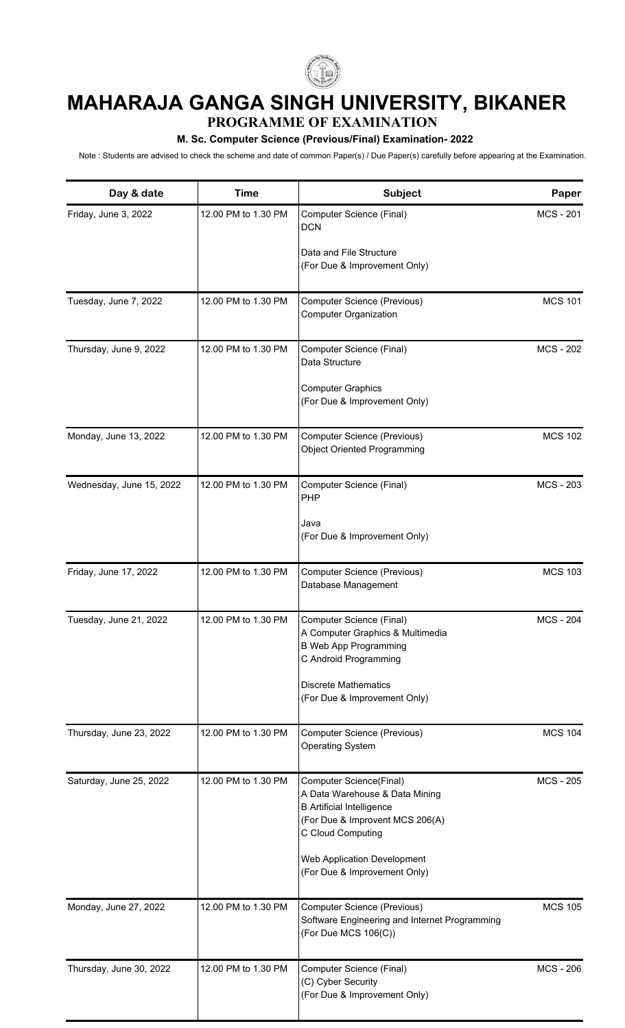

## **MAHARAJA GANGA SINGH UNIVERSITY, BIKANER**

## **PROGRAMME OF EXAMINATION**

## **M. Sc. Computer Science (Previous/Final) Examination- 2022**

Note : Students are advised to check the scheme and date of common Paper(s) / Due Paper(s) carefully before appearing at the Examination.

| Day & date               | <b>Time</b>         | <b>Subject</b>                                                                                                                                                                                                       | Paper            |
|--------------------------|---------------------|----------------------------------------------------------------------------------------------------------------------------------------------------------------------------------------------------------------------|------------------|
| Friday, June 3, 2022     | 12.00 PM to 1.30 PM | Computer Science (Final)<br><b>DCN</b>                                                                                                                                                                               | <b>MCS-201</b>   |
|                          |                     | Data and File Structure<br>(For Due & Improvement Only)                                                                                                                                                              |                  |
| Tuesday, June 7, 2022    | 12.00 PM to 1.30 PM | Computer Science (Previous)<br><b>Computer Organization</b>                                                                                                                                                          | <b>MCS 101</b>   |
| Thursday, June 9, 2022   | 12.00 PM to 1.30 PM | Computer Science (Final)<br>Data Structure<br><b>Computer Graphics</b><br>(For Due & Improvement Only)                                                                                                               | <b>MCS - 202</b> |
| Monday, June 13, 2022    | 12.00 PM to 1.30 PM | Computer Science (Previous)<br><b>Object Oriented Programming</b>                                                                                                                                                    | <b>MCS 102</b>   |
| Wednesday, June 15, 2022 | 12.00 PM to 1.30 PM | Computer Science (Final)<br>PHP<br>Java<br>(For Due & Improvement Only)                                                                                                                                              | <b>MCS - 203</b> |
| Friday, June 17, 2022    | 12.00 PM to 1.30 PM | Computer Science (Previous)<br>Database Management                                                                                                                                                                   | <b>MCS 103</b>   |
| Tuesday, June 21, 2022   | 12.00 PM to 1.30 PM | Computer Science (Final)<br>A Computer Graphics & Multimedia<br><b>B Web App Programming</b><br>C Android Programming<br><b>Discrete Mathematics</b><br>(For Due & Improvement Only)                                 | <b>MCS - 204</b> |
| Thursday, June 23, 2022  | 12.00 PM to 1.30 PM | Computer Science (Previous)<br><b>Operating System</b>                                                                                                                                                               | <b>MCS 104</b>   |
| Saturday, June 25, 2022  | 12.00 PM to 1.30 PM | Computer Science(Final)<br>A Data Warehouse & Data Mining<br><b>B</b> Artificial Intelligence<br>(For Due & Improvent MCS 206(A)<br>C Cloud Computing<br>Web Application Development<br>(For Due & Improvement Only) | <b>MCS - 205</b> |
| Monday, June 27, 2022    | 12.00 PM to 1.30 PM | Computer Science (Previous)<br>Software Engineering and Internet Programming<br>(For Due MCS 106(C))                                                                                                                 | <b>MCS 105</b>   |
| Thursday, June 30, 2022  | 12.00 PM to 1.30 PM | Computer Science (Final)<br>(C) Cyber Security<br>(For Due & Improvement Only)                                                                                                                                       | <b>MCS - 206</b> |